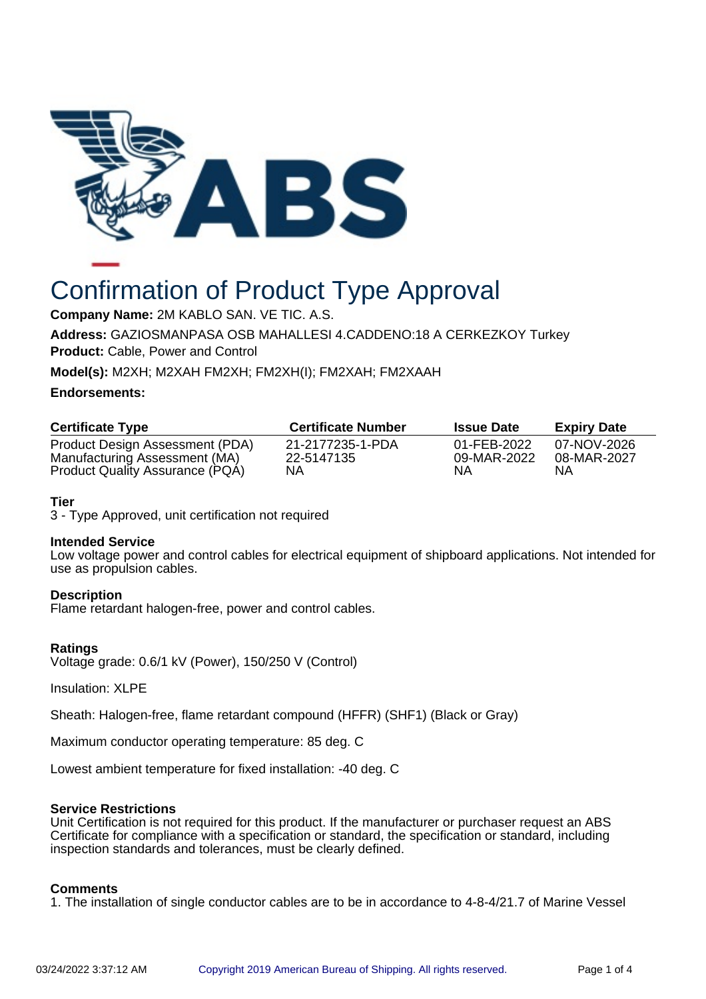

# Confirmation of Product Type Approval

**Company Name:** 2M KABLO SAN. VE TIC. A.S.

**Address:** GAZIOSMANPASA OSB MAHALLESI 4.CADDENO:18 A CERKEZKOY Turkey **Product:** Cable, Power and Control

**Model(s):** M2XH; M2XAH FM2XH; FM2XH(I); FM2XAH; FM2XAAH

#### **Endorsements:**

| <b>Certificate Type</b>                                          | <b>Certificate Number</b>      | <b>Issue Date</b>          | <b>Expiry Date</b>         |
|------------------------------------------------------------------|--------------------------------|----------------------------|----------------------------|
| Product Design Assessment (PDA)<br>Manufacturing Assessment (MA) | 21-2177235-1-PDA<br>22-5147135 | 01-FEB-2022<br>09-MAR-2022 | 07-NOV-2026<br>08-MAR-2027 |
| Product Quality Assurance (PQA)                                  | NΑ                             | ΝA                         | ΝA                         |

### **Tier**

3 - Type Approved, unit certification not required

#### **Intended Service**

Low voltage power and control cables for electrical equipment of shipboard applications. Not intended for use as propulsion cables.

#### **Description**

Flame retardant halogen-free, power and control cables.

#### **Ratings**

Voltage grade: 0.6/1 kV (Power), 150/250 V (Control)

Insulation: XLPE

Sheath: Halogen-free, flame retardant compound (HFFR) (SHF1) (Black or Gray)

Maximum conductor operating temperature: 85 deg. C

Lowest ambient temperature for fixed installation: -40 deg. C

#### **Service Restrictions**

Unit Certification is not required for this product. If the manufacturer or purchaser request an ABS Certificate for compliance with a specification or standard, the specification or standard, including inspection standards and tolerances, must be clearly defined.

#### **Comments**

1. The installation of single conductor cables are to be in accordance to 4-8-4/21.7 of Marine Vessel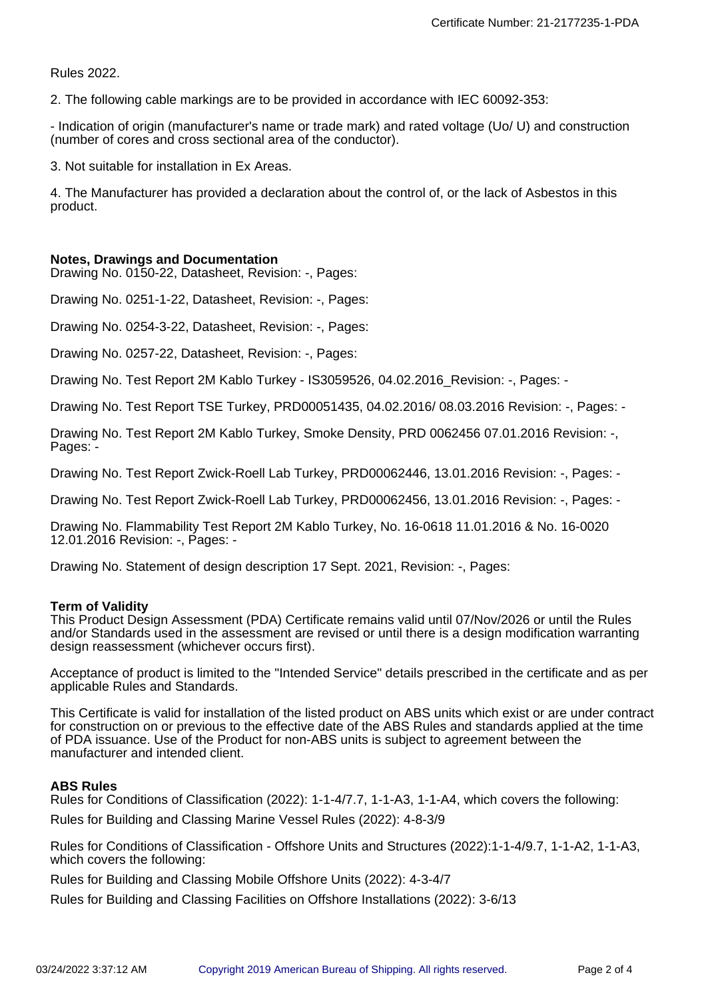Rules 2022.

2. The following cable markings are to be provided in accordance with IEC 60092-353:

- Indication of origin (manufacturer's name or trade mark) and rated voltage (Uo/ U) and construction (number of cores and cross sectional area of the conductor).

3. Not suitable for installation in Ex Areas.

4. The Manufacturer has provided a declaration about the control of, or the lack of Asbestos in this product.

#### **Notes, Drawings and Documentation**

Drawing No. 0150-22, Datasheet, Revision: -, Pages:

Drawing No. 0251-1-22, Datasheet, Revision: -, Pages:

Drawing No. 0254-3-22, Datasheet, Revision: -, Pages:

Drawing No. 0257-22, Datasheet, Revision: -, Pages:

Drawing No. Test Report 2M Kablo Turkey - IS3059526, 04.02.2016\_Revision: -, Pages: -

Drawing No. Test Report TSE Turkey, PRD00051435, 04.02.2016/ 08.03.2016 Revision: -, Pages: -

Drawing No. Test Report 2M Kablo Turkey, Smoke Density, PRD 0062456 07.01.2016 Revision: -, Pages: -

Drawing No. Test Report Zwick-Roell Lab Turkey, PRD00062446, 13.01.2016 Revision: -, Pages: -

Drawing No. Test Report Zwick-Roell Lab Turkey, PRD00062456, 13.01.2016 Revision: -, Pages: -

Drawing No. Flammability Test Report 2M Kablo Turkey, No. 16-0618 11.01.2016 & No. 16-0020 12.01.2016 Revision: -, Pages: -

Drawing No. Statement of design description 17 Sept. 2021, Revision: -, Pages:

#### **Term of Validity**

This Product Design Assessment (PDA) Certificate remains valid until 07/Nov/2026 or until the Rules and/or Standards used in the assessment are revised or until there is a design modification warranting design reassessment (whichever occurs first).

Acceptance of product is limited to the "Intended Service" details prescribed in the certificate and as per applicable Rules and Standards.

This Certificate is valid for installation of the listed product on ABS units which exist or are under contract for construction on or previous to the effective date of the ABS Rules and standards applied at the time of PDA issuance. Use of the Product for non-ABS units is subject to agreement between the manufacturer and intended client.

#### **ABS Rules**

Rules for Conditions of Classification (2022): 1-1-4/7.7, 1-1-A3, 1-1-A4, which covers the following:

Rules for Building and Classing Marine Vessel Rules (2022): 4-8-3/9

Rules for Conditions of Classification - Offshore Units and Structures (2022):1-1-4/9.7, 1-1-A2, 1-1-A3, which covers the following:

Rules for Building and Classing Mobile Offshore Units (2022): 4-3-4/7

Rules for Building and Classing Facilities on Offshore Installations (2022): 3-6/13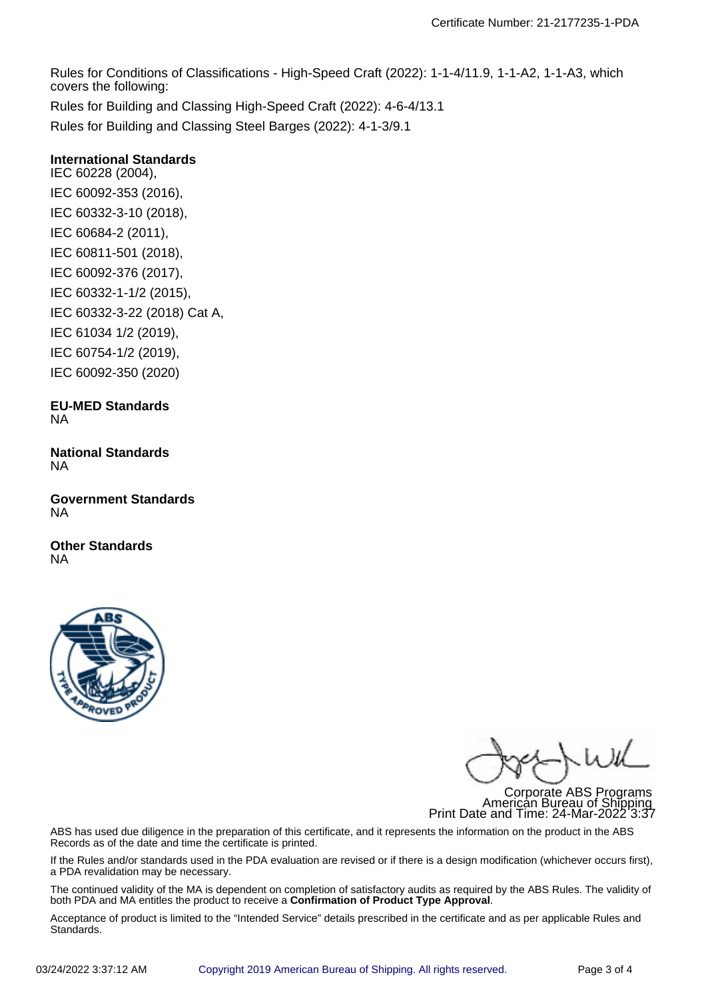Rules for Conditions of Classifications - High-Speed Craft (2022): 1-1-4/11.9, 1-1-A2, 1-1-A3, which covers the following: Rules for Building and Classing High-Speed Craft (2022): 4-6-4/13.1

Rules for Building and Classing Steel Barges (2022): 4-1-3/9.1

## **International Standards**

IEC 60228 (2004), IEC 60092-353 (2016), IEC 60332-3-10 (2018), IEC 60684-2 (2011), IEC 60811-501 (2018), IEC 60092-376 (2017), IEC 60332-1-1/2 (2015), IEC 60332-3-22 (2018) Cat A, IEC 61034 1/2 (2019), IEC 60754-1/2 (2019), IEC 60092-350 (2020)

#### **EU-MED Standards** NA

**National Standards** NA

**Government Standards** NA

**Other Standards** NA



Corporate ABS Programs American Bureau of Shipping Print Date and Time: 24-Mar-2022 3:37

ABS has used due diligence in the preparation of this certificate, and it represents the information on the product in the ABS Records as of the date and time the certificate is printed.

If the Rules and/or standards used in the PDA evaluation are revised or if there is a design modification (whichever occurs first), a PDA revalidation may be necessary.

The continued validity of the MA is dependent on completion of satisfactory audits as required by the ABS Rules. The validity of both PDA and MA entitles the product to receive a **Confirmation of Product Type Approval**.

Acceptance of product is limited to the "Intended Service" details prescribed in the certificate and as per applicable Rules and Standards.